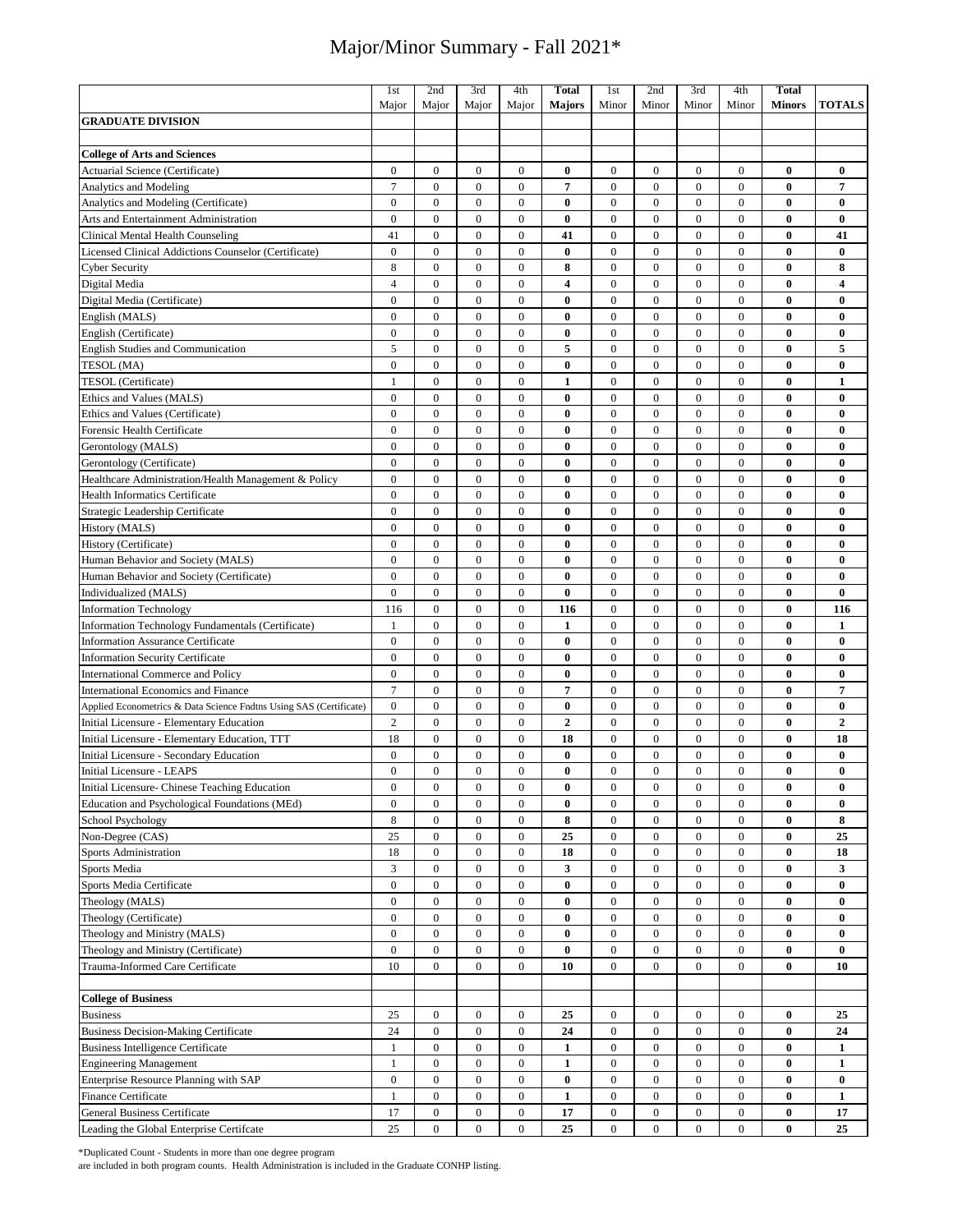|                                                                                                                | 1 <sub>st</sub>  | 2nd              | 3rd              | 4th              | <b>Total</b>            | 1st              | 2nd              | 3rd              | 4th              | <b>Total</b>  |                         |
|----------------------------------------------------------------------------------------------------------------|------------------|------------------|------------------|------------------|-------------------------|------------------|------------------|------------------|------------------|---------------|-------------------------|
|                                                                                                                | Major            | Major            | Major            | Major            | <b>Majors</b>           | Minor            | Minor            | Minor            | Minor            | <b>Minors</b> | <b>TOTALS</b>           |
| <b>GRADUATE DIVISION</b>                                                                                       |                  |                  |                  |                  |                         |                  |                  |                  |                  |               |                         |
|                                                                                                                |                  |                  |                  |                  |                         |                  |                  |                  |                  |               |                         |
| <b>College of Arts and Sciences</b>                                                                            |                  |                  |                  |                  |                         |                  |                  |                  |                  |               |                         |
| Actuarial Science (Certificate)                                                                                | $\boldsymbol{0}$ | $\mathbf{0}$     | $\boldsymbol{0}$ | $\overline{0}$   | $\bf{0}$                | $\boldsymbol{0}$ | $\boldsymbol{0}$ | $\mathbf{0}$     | $\mathbf{0}$     | $\bf{0}$      | $\bf{0}$                |
| <b>Analytics and Modeling</b>                                                                                  | $\overline{7}$   | $\mathbf{0}$     | $\mathbf{0}$     | $\mathbf{0}$     | 7                       | $\boldsymbol{0}$ | $\boldsymbol{0}$ | $\mathbf{0}$     | $\mathbf{0}$     | $\bf{0}$      | $\overline{\mathbf{7}}$ |
| Analytics and Modeling (Certificate)                                                                           | $\overline{0}$   | $\mathbf{0}$     | $\overline{0}$   | $\overline{0}$   | $\bf{0}$                | $\boldsymbol{0}$ | $\boldsymbol{0}$ | $\mathbf{0}$     | $\overline{0}$   | $\bf{0}$      | $\bf{0}$                |
| Arts and Entertainment Administration                                                                          | $\overline{0}$   | $\mathbf{0}$     | $\boldsymbol{0}$ | $\boldsymbol{0}$ | $\bf{0}$                | $\boldsymbol{0}$ | $\boldsymbol{0}$ | $\mathbf{0}$     | $\mathbf{0}$     | $\bf{0}$      | $\bf{0}$                |
| Clinical Mental Health Counseling                                                                              | 41               | $\mathbf{0}$     | $\overline{0}$   | $\overline{0}$   | 41                      | $\boldsymbol{0}$ | $\boldsymbol{0}$ | $\mathbf{0}$     | $\overline{0}$   | $\bf{0}$      | 41                      |
| Licensed Clinical Addictions Counselor (Certificate)                                                           | $\overline{0}$   | $\mathbf{0}$     | $\mathbf{0}$     | $\mathbf{0}$     | $\bf{0}$                | $\boldsymbol{0}$ | $\mathbf{0}$     | $\mathbf{0}$     | $\mathbf{0}$     | $\bf{0}$      | $\bf{0}$                |
|                                                                                                                | 8                | $\mathbf{0}$     | $\overline{0}$   | $\overline{0}$   | 8                       | $\boldsymbol{0}$ | $\mathbf{0}$     | $\mathbf{0}$     | $\overline{0}$   | $\mathbf{0}$  | 8                       |
| <b>Cyber Security</b>                                                                                          | $\overline{4}$   |                  |                  |                  | $\overline{\mathbf{4}}$ |                  | $\boldsymbol{0}$ |                  | $\mathbf{0}$     | $\bf{0}$      | 4                       |
| Digital Media                                                                                                  |                  | $\boldsymbol{0}$ | $\boldsymbol{0}$ | $\boldsymbol{0}$ |                         | $\boldsymbol{0}$ |                  | $\boldsymbol{0}$ |                  |               |                         |
| Digital Media (Certificate)                                                                                    | $\mathbf{0}$     | $\mathbf{0}$     | $\mathbf{0}$     | $\overline{0}$   | $\bf{0}$                | $\boldsymbol{0}$ | $\mathbf{0}$     | $\mathbf{0}$     | $\overline{0}$   | $\bf{0}$      | $\bf{0}$                |
| English (MALS)                                                                                                 | $\overline{0}$   | $\mathbf{0}$     | $\mathbf{0}$     | $\boldsymbol{0}$ | $\bf{0}$                | $\boldsymbol{0}$ | $\mathbf{0}$     | $\mathbf{0}$     | $\mathbf{0}$     | $\bf{0}$      | $\bf{0}$                |
| English (Certificate)                                                                                          | $\overline{0}$   | $\mathbf{0}$     | $\overline{0}$   | $\boldsymbol{0}$ | $\bf{0}$                | $\boldsymbol{0}$ | $\mathbf{0}$     | $\mathbf{0}$     | $\overline{0}$   | $\bf{0}$      | $\bf{0}$                |
| <b>English Studies and Communication</b>                                                                       | 5                | $\boldsymbol{0}$ | $\boldsymbol{0}$ | $\boldsymbol{0}$ | 5                       | $\boldsymbol{0}$ | $\boldsymbol{0}$ | $\mathbf{0}$     | $\mathbf{0}$     | $\bf{0}$      | 5                       |
| TESOL (MA)                                                                                                     | $\overline{0}$   | $\boldsymbol{0}$ | $\boldsymbol{0}$ | $\boldsymbol{0}$ | 0                       | $\boldsymbol{0}$ | $\boldsymbol{0}$ | $\boldsymbol{0}$ | $\mathbf{0}$     | $\bf{0}$      | $\bf{0}$                |
| TESOL (Certificate)                                                                                            | 1                | $\mathbf{0}$     | $\mathbf{0}$     | $\boldsymbol{0}$ | $\mathbf{1}$            | $\boldsymbol{0}$ | $\boldsymbol{0}$ | $\boldsymbol{0}$ | $\mathbf{0}$     | $\bf{0}$      | $\mathbf{1}$            |
| Ethics and Values (MALS)                                                                                       | $\overline{0}$   | $\mathbf{0}$     | $\mathbf{0}$     | $\mathbf{0}$     | $\bf{0}$                | $\boldsymbol{0}$ | $\boldsymbol{0}$ | $\mathbf{0}$     | $\mathbf{0}$     | $\bf{0}$      | $\bf{0}$                |
| Ethics and Values (Certificate)                                                                                | $\overline{0}$   | $\mathbf{0}$     | $\mathbf{0}$     | $\boldsymbol{0}$ | 0                       | $\boldsymbol{0}$ | $\boldsymbol{0}$ | $\boldsymbol{0}$ | $\mathbf{0}$     | $\bf{0}$      | $\bf{0}$                |
| Forensic Health Certificate                                                                                    | $\boldsymbol{0}$ | $\boldsymbol{0}$ | $\boldsymbol{0}$ | $\mathbf{0}$     | $\bf{0}$                | $\mathbf{0}$     | $\boldsymbol{0}$ | $\mathbf{0}$     | $\mathbf{0}$     | $\bf{0}$      | $\bf{0}$                |
| Gerontology (MALS)                                                                                             | $\overline{0}$   | $\boldsymbol{0}$ | $\boldsymbol{0}$ | $\boldsymbol{0}$ | $\bf{0}$                | $\boldsymbol{0}$ | $\boldsymbol{0}$ | $\mathbf{0}$     | $\mathbf{0}$     | $\bf{0}$      | $\bf{0}$                |
| Gerontology (Certificate)                                                                                      | $\overline{0}$   | $\boldsymbol{0}$ | $\boldsymbol{0}$ | $\boldsymbol{0}$ | $\bf{0}$                | $\boldsymbol{0}$ | $\boldsymbol{0}$ | $\mathbf{0}$     | $\overline{0}$   | $\bf{0}$      | $\bf{0}$                |
| Healthcare Administration/Health Management & Policy                                                           | $\overline{0}$   | $\boldsymbol{0}$ | $\boldsymbol{0}$ | $\boldsymbol{0}$ | $\bf{0}$                | $\boldsymbol{0}$ | $\boldsymbol{0}$ | $\overline{0}$   | $\mathbf{0}$     | $\bf{0}$      | $\bf{0}$                |
| <b>Health Informatics Certificate</b>                                                                          | $\boldsymbol{0}$ | $\boldsymbol{0}$ | $\boldsymbol{0}$ | $\boldsymbol{0}$ | $\bf{0}$                | $\boldsymbol{0}$ | $\boldsymbol{0}$ | $\boldsymbol{0}$ | $\boldsymbol{0}$ | $\bf{0}$      | $\bf{0}$                |
| Strategic Leadership Certificate                                                                               | $\overline{0}$   | $\boldsymbol{0}$ | $\boldsymbol{0}$ | $\boldsymbol{0}$ | $\bf{0}$                | $\boldsymbol{0}$ | $\boldsymbol{0}$ | $\mathbf{0}$     | $\mathbf{0}$     | $\bf{0}$      | $\bf{0}$                |
| History (MALS)                                                                                                 | $\overline{0}$   | $\mathbf{0}$     | $\boldsymbol{0}$ | $\boldsymbol{0}$ | $\bf{0}$                | $\boldsymbol{0}$ | $\boldsymbol{0}$ | $\mathbf{0}$     | $\mathbf{0}$     | $\bf{0}$      | $\bf{0}$                |
| History (Certificate)                                                                                          | $\overline{0}$   | $\mathbf{0}$     | $\mathbf{0}$     | $\overline{0}$   | $\bf{0}$                | $\boldsymbol{0}$ | $\mathbf{0}$     | $\mathbf{0}$     | $\mathbf{0}$     | $\bf{0}$      | $\bf{0}$                |
| Human Behavior and Society (MALS)                                                                              | $\overline{0}$   | $\boldsymbol{0}$ | $\boldsymbol{0}$ | $\boldsymbol{0}$ | 0                       | $\boldsymbol{0}$ | $\mathbf{0}$     | $\mathbf{0}$     | $\mathbf{0}$     | $\bf{0}$      | $\bf{0}$                |
| Human Behavior and Society (Certificate)                                                                       | $\overline{0}$   | $\mathbf{0}$     | $\boldsymbol{0}$ | $\mathbf{0}$     | $\bf{0}$                | $\mathbf{0}$     | $\boldsymbol{0}$ | $\overline{0}$   | $\overline{0}$   | $\bf{0}$      | $\bf{0}$                |
| Individualized (MALS)                                                                                          | $\boldsymbol{0}$ | $\boldsymbol{0}$ | $\boldsymbol{0}$ | $\boldsymbol{0}$ | $\bf{0}$                | $\boldsymbol{0}$ | $\boldsymbol{0}$ | $\boldsymbol{0}$ | $\boldsymbol{0}$ | $\bf{0}$      | $\bf{0}$                |
| <b>Information Technology</b>                                                                                  | 116              | $\mathbf{0}$     | $\overline{0}$   | $\overline{0}$   | 116                     | $\boldsymbol{0}$ | $\mathbf{0}$     | $\mathbf{0}$     | $\overline{0}$   | $\bf{0}$      | 116                     |
| Information Technology Fundamentals (Certificate)                                                              | 1                | $\mathbf{0}$     | $\boldsymbol{0}$ | $\mathbf{0}$     | 1                       | $\boldsymbol{0}$ | $\boldsymbol{0}$ | $\mathbf{0}$     | $\mathbf{0}$     | $\bf{0}$      | 1                       |
| <b>Information Assurance Certificate</b>                                                                       | $\overline{0}$   | $\mathbf{0}$     | $\overline{0}$   | $\overline{0}$   | $\bf{0}$                | $\boldsymbol{0}$ | $\mathbf{0}$     | $\mathbf{0}$     | $\overline{0}$   | $\mathbf{0}$  | $\bf{0}$                |
| <b>Information Security Certificate</b>                                                                        | $\overline{0}$   | $\mathbf{0}$     | $\mathbf{0}$     | $\boldsymbol{0}$ | $\bf{0}$                | $\boldsymbol{0}$ | $\boldsymbol{0}$ | $\mathbf{0}$     | $\mathbf{0}$     | $\bf{0}$      | $\bf{0}$                |
| <b>International Commerce and Policy</b>                                                                       | $\overline{0}$   | $\mathbf{0}$     | $\overline{0}$   | $\overline{0}$   | $\bf{0}$                | $\boldsymbol{0}$ | $\boldsymbol{0}$ | $\mathbf{0}$     | $\overline{0}$   | $\bf{0}$      | $\bf{0}$                |
| International Economics and Finance                                                                            | $\overline{7}$   | $\overline{0}$   | $\mathbf{0}$     | $\boldsymbol{0}$ | 7                       | $\boldsymbol{0}$ | $\boldsymbol{0}$ | $\overline{0}$   | $\mathbf{0}$     | $\bf{0}$      | $\overline{7}$          |
|                                                                                                                | $\boldsymbol{0}$ | $\boldsymbol{0}$ | $\boldsymbol{0}$ | $\boldsymbol{0}$ | $\bf{0}$                | $\boldsymbol{0}$ | $\boldsymbol{0}$ | $\mathbf{0}$     | $\mathbf{0}$     | $\bf{0}$      | $\bf{0}$                |
| Applied Econometrics & Data Science Fndtns Using SAS (Certificate)<br>Initial Licensure - Elementary Education | $\overline{c}$   | $\boldsymbol{0}$ | $\boldsymbol{0}$ | $\boldsymbol{0}$ | $\boldsymbol{2}$        | $\boldsymbol{0}$ | $\boldsymbol{0}$ | $\boldsymbol{0}$ | $\mathbf{0}$     | $\bf{0}$      | $\overline{2}$          |
|                                                                                                                | 18               | $\mathbf{0}$     | $\boldsymbol{0}$ | $\boldsymbol{0}$ | 18                      | $\boldsymbol{0}$ | $\mathbf{0}$     | $\mathbf{0}$     | $\overline{0}$   | $\bf{0}$      | 18                      |
| Initial Licensure - Elementary Education, TTT                                                                  | $\overline{0}$   |                  | $\boldsymbol{0}$ |                  |                         |                  | $\mathbf{0}$     | $\mathbf{0}$     | $\mathbf{0}$     | $\bf{0}$      |                         |
| Initial Licensure - Secondary Education                                                                        |                  | $\boldsymbol{0}$ |                  | $\boldsymbol{0}$ | $\bf{0}$                | $\boldsymbol{0}$ |                  |                  |                  |               | $\bf{0}$                |
| Initial Licensure - LEAPS                                                                                      | $\mathbf{0}$     | $\mathbf{0}$     | $\mathbf{0}$     | $\overline{0}$   | $\bf{0}$                | $\mathbf{0}$     | $\mathbf{0}$     | $\mathbf{0}$     | $\mathbf{0}$     | $\bf{0}$      | $\bf{0}$                |
| Initial Licensure- Chinese Teaching Education                                                                  | 0                | $\boldsymbol{0}$ | $\boldsymbol{0}$ | $\boldsymbol{0}$ | $\bf{0}$                | $\boldsymbol{0}$ | $\boldsymbol{0}$ | $\boldsymbol{0}$ | $\boldsymbol{0}$ | $\bf{0}$      | $\bf{0}$                |
| Education and Psychological Foundations (MEd)                                                                  | $\boldsymbol{0}$ | $\boldsymbol{0}$ | $\boldsymbol{0}$ | $\boldsymbol{0}$ | $\bf{0}$                | $\boldsymbol{0}$ | $\boldsymbol{0}$ | $\boldsymbol{0}$ | $\boldsymbol{0}$ | $\bf{0}$      | $\bf{0}$                |
| School Psychology                                                                                              | 8                | $\boldsymbol{0}$ | $\boldsymbol{0}$ | $\boldsymbol{0}$ | 8                       | $\boldsymbol{0}$ | $\boldsymbol{0}$ | $\boldsymbol{0}$ | $\mathbf{0}$     | $\bf{0}$      | 8                       |
| Non-Degree (CAS)                                                                                               | 25               | $\boldsymbol{0}$ | $\boldsymbol{0}$ | $\boldsymbol{0}$ | 25                      | $\boldsymbol{0}$ | $\boldsymbol{0}$ | $\boldsymbol{0}$ | $\boldsymbol{0}$ | $\bf{0}$      | 25                      |
| Sports Administration                                                                                          | 18               | $\bf{0}$         | $\boldsymbol{0}$ | $\boldsymbol{0}$ | 18                      | $\boldsymbol{0}$ | $\boldsymbol{0}$ | $\boldsymbol{0}$ | $\boldsymbol{0}$ | $\bf{0}$      | 18                      |
| Sports Media                                                                                                   | $\overline{3}$   | $\bf{0}$         | $\boldsymbol{0}$ | $\boldsymbol{0}$ | 3                       | $\boldsymbol{0}$ | $\boldsymbol{0}$ | $\boldsymbol{0}$ | $\boldsymbol{0}$ | $\bf{0}$      | 3                       |
| Sports Media Certificate                                                                                       | $\boldsymbol{0}$ | $\bf{0}$         | $\bf{0}$         | $\boldsymbol{0}$ | $\bf{0}$                | $\boldsymbol{0}$ | $\boldsymbol{0}$ | $\boldsymbol{0}$ | $\boldsymbol{0}$ | $\bf{0}$      | $\bf{0}$                |
| Theology (MALS)                                                                                                | $\boldsymbol{0}$ | $\boldsymbol{0}$ | $\boldsymbol{0}$ | $\boldsymbol{0}$ | $\bf{0}$                | $\boldsymbol{0}$ | $\boldsymbol{0}$ | $\boldsymbol{0}$ | $\boldsymbol{0}$ | $\bf{0}$      | $\bf{0}$                |
| Theology (Certificate)                                                                                         | $\boldsymbol{0}$ | $\bf{0}$         | $\boldsymbol{0}$ | $\boldsymbol{0}$ | 0                       | $\boldsymbol{0}$ | $\boldsymbol{0}$ | $\bf{0}$         | $\boldsymbol{0}$ | $\bf{0}$      | $\bf{0}$                |
| Theology and Ministry (MALS)                                                                                   | $\boldsymbol{0}$ | $\boldsymbol{0}$ | $\bf{0}$         | $\boldsymbol{0}$ | $\bf{0}$                | $\boldsymbol{0}$ | $\boldsymbol{0}$ | $\boldsymbol{0}$ | $\mathbf{0}$     | $\bf{0}$      | $\bf{0}$                |
| Theology and Ministry (Certificate)                                                                            | $\overline{0}$   | $\bf{0}$         | $\boldsymbol{0}$ | $\boldsymbol{0}$ | $\bf{0}$                | $\boldsymbol{0}$ | $\boldsymbol{0}$ | $\bf{0}$         | $\boldsymbol{0}$ | $\bf{0}$      | $\bf{0}$                |
| Trauma-Informed Care Certificate                                                                               | 10               | $\boldsymbol{0}$ | $\boldsymbol{0}$ | $\bf{0}$         | 10                      | $\boldsymbol{0}$ | $\boldsymbol{0}$ | $\boldsymbol{0}$ | $\boldsymbol{0}$ | $\bf{0}$      | 10                      |
|                                                                                                                |                  |                  |                  |                  |                         |                  |                  |                  |                  |               |                         |
| <b>College of Business</b>                                                                                     |                  |                  |                  |                  |                         |                  |                  |                  |                  |               |                         |
| <b>Business</b>                                                                                                | 25               | $\boldsymbol{0}$ | $\boldsymbol{0}$ | $\boldsymbol{0}$ | 25                      | $\boldsymbol{0}$ | $\boldsymbol{0}$ | $\boldsymbol{0}$ | $\boldsymbol{0}$ | $\bf{0}$      | 25                      |
| <b>Business Decision-Making Certificate</b>                                                                    | 24               | $\boldsymbol{0}$ | $\boldsymbol{0}$ | $\boldsymbol{0}$ | 24                      | $\boldsymbol{0}$ | $\boldsymbol{0}$ | $\boldsymbol{0}$ | $\boldsymbol{0}$ | $\bf{0}$      | 24                      |
| <b>Business Intelligence Certificate</b>                                                                       | $\mathbf{1}$     | $\boldsymbol{0}$ | $\boldsymbol{0}$ | $\boldsymbol{0}$ | 1                       | $\boldsymbol{0}$ | $\boldsymbol{0}$ | $\boldsymbol{0}$ | $\boldsymbol{0}$ | $\bf{0}$      | 1                       |
| <b>Engineering Management</b>                                                                                  | 1                | $\boldsymbol{0}$ | $\boldsymbol{0}$ | $\boldsymbol{0}$ | $\mathbf{1}$            | $\boldsymbol{0}$ | $\boldsymbol{0}$ | $\boldsymbol{0}$ | $\boldsymbol{0}$ | $\bf{0}$      | 1                       |
| Enterprise Resource Planning with SAP                                                                          | $\overline{0}$   | $\boldsymbol{0}$ | $\boldsymbol{0}$ | $\boldsymbol{0}$ | $\bf{0}$                | $\boldsymbol{0}$ | $\boldsymbol{0}$ | $\boldsymbol{0}$ | $\boldsymbol{0}$ | $\bf{0}$      | $\bf{0}$                |
| Finance Certificate                                                                                            | $\mathbf{1}$     | $\boldsymbol{0}$ | $\boldsymbol{0}$ | $\boldsymbol{0}$ | $\mathbf{1}$            | $\boldsymbol{0}$ | $\boldsymbol{0}$ | $\boldsymbol{0}$ | $\boldsymbol{0}$ | $\bf{0}$      | $\mathbf{1}$            |
| General Business Certificate                                                                                   | 17               | $\boldsymbol{0}$ | $\boldsymbol{0}$ | $\boldsymbol{0}$ | 17                      | $\boldsymbol{0}$ | $\boldsymbol{0}$ | $\boldsymbol{0}$ | $\mathbf{0}$     | $\bf{0}$      | 17                      |
| Leading the Global Enterprise Certifcate                                                                       | 25               | $\boldsymbol{0}$ | $\bf{0}$         | $\bf{0}$         | 25                      | $\boldsymbol{0}$ | $\boldsymbol{0}$ | $\boldsymbol{0}$ | $\overline{0}$   | $\bf{0}$      | 25                      |

\*Duplicated Count - Students in more than one degree program

are included in both program counts. Health Administration is included in the Graduate CONHP listing.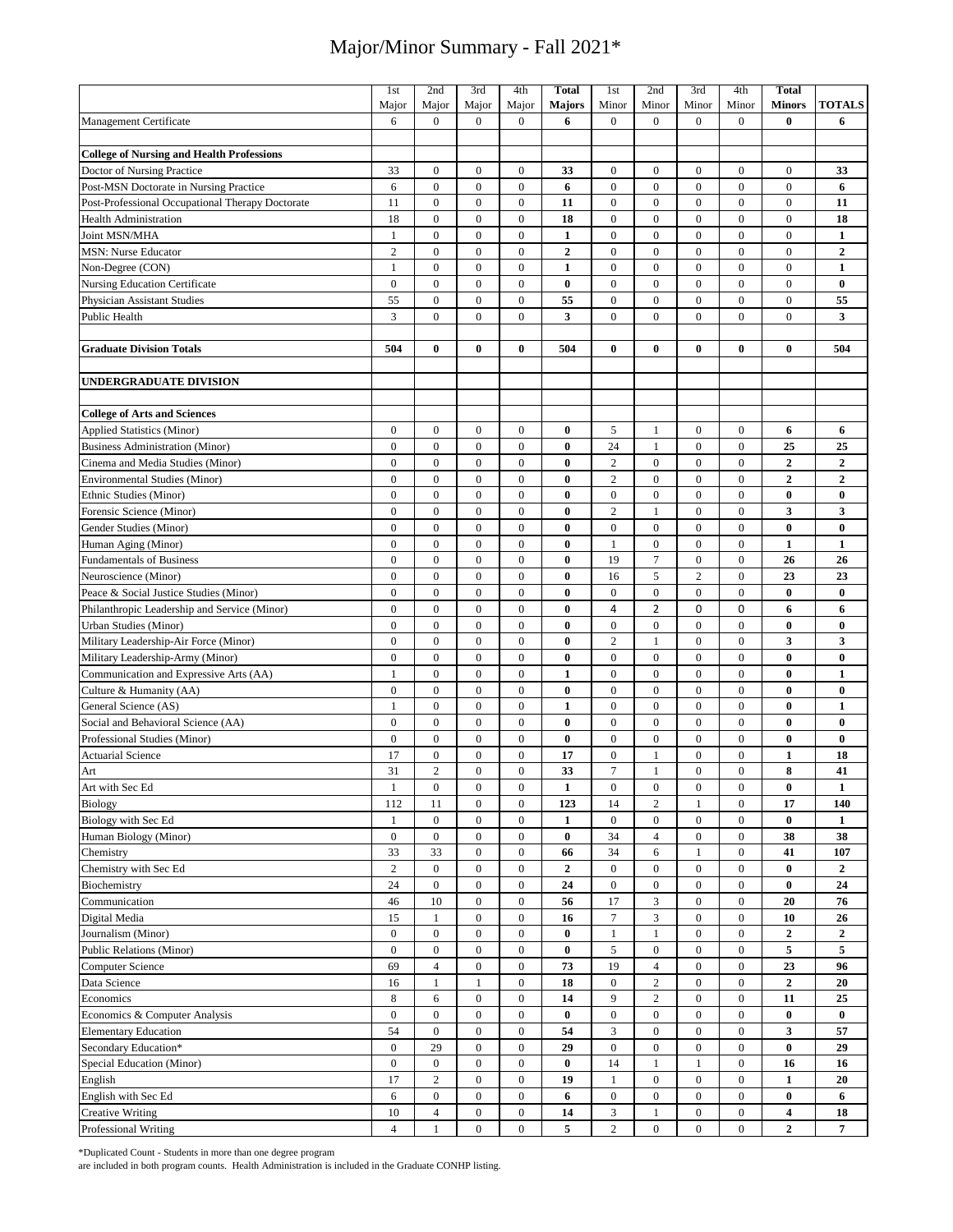|                                                  | 1st              | 2nd              | 3rd              | 4th              | <b>Total</b>     | 1st              | 2nd              | 3rd              | 4th              | Total            |                  |
|--------------------------------------------------|------------------|------------------|------------------|------------------|------------------|------------------|------------------|------------------|------------------|------------------|------------------|
|                                                  | Major            | Major            | Major            | Major            | <b>Majors</b>    | Minor            | Minor            | Minor            | Minor            | <b>Minors</b>    | <b>TOTALS</b>    |
| Management Certificate                           | 6                | $\mathbf{0}$     | $\boldsymbol{0}$ | $\boldsymbol{0}$ | 6                | $\boldsymbol{0}$ | $\mathbf{0}$     | $\mathbf{0}$     | $\overline{0}$   | $\bf{0}$         | 6                |
|                                                  |                  |                  |                  |                  |                  |                  |                  |                  |                  |                  |                  |
| <b>College of Nursing and Health Professions</b> |                  |                  |                  |                  |                  |                  |                  |                  |                  |                  |                  |
| Doctor of Nursing Practice                       | 33               | $\boldsymbol{0}$ | $\boldsymbol{0}$ | $\boldsymbol{0}$ | 33               | $\boldsymbol{0}$ | $\boldsymbol{0}$ | $\mathbf{0}$     | $\mathbf{0}$     | $\overline{0}$   | 33               |
| Post-MSN Doctorate in Nursing Practice           | 6                | $\mathbf{0}$     | $\mathbf{0}$     | $\boldsymbol{0}$ | 6                | $\boldsymbol{0}$ | $\mathbf{0}$     | $\mathbf{0}$     | $\mathbf{0}$     | $\mathbf{0}$     | 6                |
| Post-Professional Occupational Therapy Doctorate | 11               | $\boldsymbol{0}$ | $\boldsymbol{0}$ | $\boldsymbol{0}$ | 11               | $\boldsymbol{0}$ | $\boldsymbol{0}$ | $\boldsymbol{0}$ | $\boldsymbol{0}$ | $\mathbf{0}$     | 11               |
| <b>Health Administration</b>                     | 18               | $\boldsymbol{0}$ | $\boldsymbol{0}$ | $\boldsymbol{0}$ | 18               | $\boldsymbol{0}$ | $\boldsymbol{0}$ | $\boldsymbol{0}$ | $\mathbf{0}$     | $\mathbf{0}$     | 18               |
| Joint MSN/MHA                                    | $\mathbf{1}$     | $\mathbf{0}$     | $\boldsymbol{0}$ | $\boldsymbol{0}$ | 1                | $\boldsymbol{0}$ | $\mathbf{0}$     | $\mathbf{0}$     | $\mathbf{0}$     | $\mathbf{0}$     | 1                |
| <b>MSN: Nurse Educator</b>                       | $\overline{c}$   | $\mathbf{0}$     | $\mathbf{0}$     | $\boldsymbol{0}$ | $\boldsymbol{2}$ | $\boldsymbol{0}$ | $\mathbf{0}$     | $\mathbf{0}$     | $\mathbf{0}$     | $\mathbf{0}$     | $\mathbf{2}$     |
|                                                  |                  |                  |                  |                  |                  |                  |                  |                  |                  |                  |                  |
| Non-Degree (CON)                                 | $\mathbf{1}$     | $\boldsymbol{0}$ | $\boldsymbol{0}$ | $\boldsymbol{0}$ | $\mathbf{1}$     | $\boldsymbol{0}$ | $\boldsymbol{0}$ | $\boldsymbol{0}$ | $\boldsymbol{0}$ | $\mathbf{0}$     | 1                |
| <b>Nursing Education Certificate</b>             | $\boldsymbol{0}$ | $\mathbf{0}$     | $\boldsymbol{0}$ | $\boldsymbol{0}$ | $\bf{0}$         | $\boldsymbol{0}$ | $\boldsymbol{0}$ | $\boldsymbol{0}$ | $\boldsymbol{0}$ | $\mathbf{0}$     | $\bf{0}$         |
| <b>Physician Assistant Studies</b>               | 55               | $\boldsymbol{0}$ | $\boldsymbol{0}$ | $\boldsymbol{0}$ | 55               | $\boldsymbol{0}$ | $\boldsymbol{0}$ | $\boldsymbol{0}$ | $\boldsymbol{0}$ | $\boldsymbol{0}$ | 55               |
| Public Health                                    | 3                | $\mathbf{0}$     | $\mathbf{0}$     | $\mathbf{0}$     | 3                | $\boldsymbol{0}$ | $\overline{0}$   | $\mathbf{0}$     | $\mathbf{0}$     | $\mathbf{0}$     | 3                |
|                                                  |                  |                  |                  |                  |                  |                  |                  |                  |                  |                  |                  |
| <b>Graduate Division Totals</b>                  | 504              | $\bf{0}$         | $\bf{0}$         | $\bf{0}$         | 504              | $\bf{0}$         | $\bf{0}$         | $\bf{0}$         | $\bf{0}$         | $\bf{0}$         | 504              |
|                                                  |                  |                  |                  |                  |                  |                  |                  |                  |                  |                  |                  |
| UNDERGRADUATE DIVISION                           |                  |                  |                  |                  |                  |                  |                  |                  |                  |                  |                  |
|                                                  |                  |                  |                  |                  |                  |                  |                  |                  |                  |                  |                  |
| <b>College of Arts and Sciences</b>              |                  |                  |                  |                  |                  |                  |                  |                  |                  |                  |                  |
| <b>Applied Statistics (Minor)</b>                | $\overline{0}$   | $\boldsymbol{0}$ | $\boldsymbol{0}$ | $\boldsymbol{0}$ | $\bf{0}$         | $\sqrt{5}$       | 1                | $\boldsymbol{0}$ | $\mathbf{0}$     | 6                | 6                |
| <b>Business Administration (Minor)</b>           | $\overline{0}$   | $\mathbf{0}$     | $\overline{0}$   | $\overline{0}$   | $\bf{0}$         | 24               | $\mathbf{1}$     | $\mathbf{0}$     | $\mathbf{0}$     | 25               | 25               |
| Cinema and Media Studies (Minor)                 | $\boldsymbol{0}$ | $\boldsymbol{0}$ | $\boldsymbol{0}$ | $\boldsymbol{0}$ | $\bf{0}$         | $\sqrt{2}$       | $\boldsymbol{0}$ | $\bf{0}$         | $\mathbf{0}$     | $\overline{2}$   | $\boldsymbol{2}$ |
| <b>Environmental Studies (Minor)</b>             | $\overline{0}$   | $\boldsymbol{0}$ | $\boldsymbol{0}$ | $\boldsymbol{0}$ | $\bf{0}$         | $\sqrt{2}$       | $\boldsymbol{0}$ | $\mathbf{0}$     | $\mathbf{0}$     | $\boldsymbol{2}$ | $\mathbf 2$      |
| Ethnic Studies (Minor)                           | $\overline{0}$   | $\mathbf{0}$     | $\mathbf{0}$     | $\boldsymbol{0}$ | $\bf{0}$         | $\boldsymbol{0}$ | $\boldsymbol{0}$ | $\bf{0}$         | $\mathbf{0}$     | $\bf{0}$         | $\bf{0}$         |
|                                                  | $\overline{0}$   | $\mathbf{0}$     | $\overline{0}$   | $\overline{0}$   | $\bf{0}$         | $\sqrt{2}$       | $\mathbf{1}$     | $\mathbf{0}$     | $\mathbf{0}$     | $\mathbf{3}$     | $\mathbf{3}$     |
| Forensic Science (Minor)                         |                  | $\mathbf{0}$     | $\mathbf{0}$     |                  |                  |                  |                  | $\mathbf{0}$     | $\mathbf{0}$     |                  |                  |
| Gender Studies (Minor)                           | $\overline{0}$   |                  |                  | $\boldsymbol{0}$ | $\bf{0}$         | $\boldsymbol{0}$ | $\boldsymbol{0}$ |                  |                  | $\bf{0}$         | $\bf{0}$         |
| Human Aging (Minor)                              | $\overline{0}$   | $\mathbf{0}$     | $\overline{0}$   | $\overline{0}$   | $\bf{0}$         | $\mathbf{1}$     | $\boldsymbol{0}$ | $\mathbf{0}$     | $\mathbf{0}$     | $\mathbf{1}$     | $\mathbf{1}$     |
| <b>Fundamentals of Business</b>                  | $\overline{0}$   | $\mathbf{0}$     | $\mathbf{0}$     | $\boldsymbol{0}$ | $\bf{0}$         | 19               | $\overline{7}$   | $\mathbf{0}$     | $\mathbf{0}$     | 26               | 26               |
| Neuroscience (Minor)                             | $\overline{0}$   | $\overline{0}$   | $\overline{0}$   | $\overline{0}$   | $\bf{0}$         | 16               | 5                | $\overline{2}$   | $\mathbf{0}$     | 23               | 23               |
| Peace & Social Justice Studies (Minor)           | $\boldsymbol{0}$ | $\boldsymbol{0}$ | $\boldsymbol{0}$ | $\boldsymbol{0}$ | $\bf{0}$         | $\boldsymbol{0}$ | $\boldsymbol{0}$ | $\boldsymbol{0}$ | $\boldsymbol{0}$ | $\bf{0}$         | $\bf{0}$         |
| Philanthropic Leadership and Service (Minor)     | $\overline{0}$   | $\mathbf{0}$     | $\mathbf{0}$     | $\overline{0}$   | $\bf{0}$         | 4                | $\overline{2}$   | 0                | $\mathbf 0$      | 6                | 6                |
| <b>Urban Studies (Minor)</b>                     | $\overline{0}$   | $\mathbf{0}$     | $\mathbf{0}$     | $\mathbf{0}$     | $\bf{0}$         | $\boldsymbol{0}$ | $\mathbf{0}$     | $\mathbf{0}$     | $\mathbf{0}$     | $\bf{0}$         | $\bf{0}$         |
| Military Leadership-Air Force (Minor)            | $\overline{0}$   | $\mathbf{0}$     | $\mathbf{0}$     | $\boldsymbol{0}$ | $\bf{0}$         | $\overline{c}$   | 1                | $\mathbf{0}$     | $\mathbf{0}$     | 3                | 3                |
| Military Leadership-Army (Minor)                 | $\overline{0}$   | $\mathbf{0}$     | $\boldsymbol{0}$ | $\boldsymbol{0}$ | $\bf{0}$         | $\boldsymbol{0}$ | $\boldsymbol{0}$ | $\mathbf{0}$     | $\mathbf{0}$     | $\bf{0}$         | $\bf{0}$         |
| Communication and Expressive Arts (AA)           | $\mathbf{1}$     | $\boldsymbol{0}$ | $\boldsymbol{0}$ | $\boldsymbol{0}$ | 1                | $\boldsymbol{0}$ | $\mathbf{0}$     | $\mathbf{0}$     | $\mathbf{0}$     | $\bf{0}$         | 1                |
| Culture & Humanity (AA)                          | $\boldsymbol{0}$ | $\boldsymbol{0}$ | $\boldsymbol{0}$ | $\boldsymbol{0}$ | $\bf{0}$         | $\boldsymbol{0}$ | $\boldsymbol{0}$ | $\boldsymbol{0}$ | $\boldsymbol{0}$ | $\bf{0}$         | $\bf{0}$         |
| General Science (AS)                             | $\mathbf{1}$     | $\boldsymbol{0}$ | $\boldsymbol{0}$ | $\boldsymbol{0}$ | $\mathbf{1}$     | $\boldsymbol{0}$ | $\boldsymbol{0}$ | $\boldsymbol{0}$ | $\boldsymbol{0}$ | $\bf{0}$         | $\mathbf{1}$     |
| Social and Behavioral Science (AA)               | $\overline{0}$   | $\mathbf{0}$     | $\boldsymbol{0}$ | $\boldsymbol{0}$ | $\bf{0}$         | $\boldsymbol{0}$ | $\boldsymbol{0}$ | $\boldsymbol{0}$ | $\boldsymbol{0}$ | $\bf{0}$         | $\bf{0}$         |
| Professional Studies (Minor)                     | $\boldsymbol{0}$ | $\boldsymbol{0}$ | $\boldsymbol{0}$ | $\boldsymbol{0}$ | $\bf{0}$         | $\boldsymbol{0}$ | $\boldsymbol{0}$ | $\boldsymbol{0}$ | $\mathbf{0}$     | $\bf{0}$         | $\bf{0}$         |
| <b>Actuarial Science</b>                         | 17               | $\boldsymbol{0}$ | $\boldsymbol{0}$ | $\boldsymbol{0}$ | 17               | $\boldsymbol{0}$ | $\mathbf{1}$     | $\mathbf{0}$     | $\overline{0}$   | $\mathbf{1}$     | 18               |
|                                                  | 31               | $\sqrt{2}$       | $\boldsymbol{0}$ | $\boldsymbol{0}$ | 33               | $\overline{7}$   |                  | $\mathbf{0}$     | $\mathbf{0}$     | 8                |                  |
| Art                                              |                  |                  |                  |                  |                  |                  | $\mathbf{1}$     |                  |                  |                  | 41               |
| Art with Sec Ed                                  | $\mathbf{1}$     | $\boldsymbol{0}$ | $\boldsymbol{0}$ | $\boldsymbol{0}$ | 1                | $\boldsymbol{0}$ | $\bf{0}$         | $\bf{0}$         | $\bf{0}$         | $\bf{0}$         | 1                |
| Biology                                          | 112              | 11               | $\boldsymbol{0}$ | $\boldsymbol{0}$ | 123              | 14               | $\sqrt{2}$       | $\mathbf{1}$     | $\boldsymbol{0}$ | 17               | 140              |
| Biology with Sec Ed                              | 1                | $\bf{0}$         | $\bf{0}$         | $\boldsymbol{0}$ | 1                | $\bf{0}$         | $\bf{0}$         | $\mathbf{0}$     | $\mathbf{0}$     | $\bf{0}$         | 1                |
| Human Biology (Minor)                            | $\boldsymbol{0}$ | $\boldsymbol{0}$ | $\boldsymbol{0}$ | $\boldsymbol{0}$ | $\bf{0}$         | 34               | $\overline{4}$   | $\bf{0}$         | $\boldsymbol{0}$ | 38               | 38               |
| Chemistry                                        | 33               | 33               | $\boldsymbol{0}$ | $\boldsymbol{0}$ | 66               | 34               | 6                | 1                | $\boldsymbol{0}$ | 41               | 107              |
| Chemistry with Sec Ed                            | $\overline{c}$   | $\bf{0}$         | $\bf{0}$         | $\bf{0}$         | $\mathbf{2}$     | $\boldsymbol{0}$ | $\mathbf{0}$     | $\mathbf{0}$     | $\boldsymbol{0}$ | $\bf{0}$         | 2                |
| Biochemistry                                     | 24               | $\boldsymbol{0}$ | $\boldsymbol{0}$ | $\boldsymbol{0}$ | 24               | $\boldsymbol{0}$ | $\boldsymbol{0}$ | $\boldsymbol{0}$ | $\boldsymbol{0}$ | $\bf{0}$         | 24               |
| Communication                                    | 46               | $10\,$           | $\boldsymbol{0}$ | $\boldsymbol{0}$ | 56               | 17               | $\mathfrak{Z}$   | $\boldsymbol{0}$ | $\boldsymbol{0}$ | 20               | 76               |
| Digital Media                                    | 15               | $\mathbf{1}$     | $\boldsymbol{0}$ | $\boldsymbol{0}$ | 16               | $\boldsymbol{7}$ | $\mathfrak{Z}$   | $\boldsymbol{0}$ | $\boldsymbol{0}$ | 10               | 26               |
| Journalism (Minor)                               | $\overline{0}$   | $\boldsymbol{0}$ | $\boldsymbol{0}$ | $\boldsymbol{0}$ | $\bf{0}$         | 1                | 1                | $\boldsymbol{0}$ | $\boldsymbol{0}$ | $\overline{2}$   | $\mathbf{2}$     |
| Public Relations (Minor)                         | $\overline{0}$   | $\boldsymbol{0}$ | $\boldsymbol{0}$ | $\boldsymbol{0}$ | $\bf{0}$         | $\sqrt{5}$       | $\boldsymbol{0}$ | $\boldsymbol{0}$ | $\boldsymbol{0}$ | 5                | 5                |
| Computer Science                                 | 69               | $\overline{4}$   | $\boldsymbol{0}$ | $\boldsymbol{0}$ | 73               | 19               | $\overline{4}$   | $\boldsymbol{0}$ | $\boldsymbol{0}$ | 23               | 96               |
| Data Science                                     | 16               | $\mathbf{1}$     | $\mathbf{1}$     | $\boldsymbol{0}$ | 18               | $\boldsymbol{0}$ | $\boldsymbol{2}$ | $\boldsymbol{0}$ | $\boldsymbol{0}$ | $\boldsymbol{2}$ | 20               |
| Economics                                        | 8                | 6                | $\boldsymbol{0}$ | $\boldsymbol{0}$ | 14               | 9                | $\overline{c}$   | $\boldsymbol{0}$ | $\boldsymbol{0}$ | 11               | 25               |
|                                                  |                  |                  |                  |                  |                  |                  |                  |                  |                  |                  |                  |
| Economics & Computer Analysis                    | $\overline{0}$   | $\boldsymbol{0}$ | $\boldsymbol{0}$ | $\boldsymbol{0}$ | $\bf{0}$         | $\boldsymbol{0}$ | $\boldsymbol{0}$ | $\boldsymbol{0}$ | $\boldsymbol{0}$ | $\bf{0}$         | $\bf{0}$         |
| <b>Elementary Education</b>                      | 54               | $\boldsymbol{0}$ | $\boldsymbol{0}$ | $\bf{0}$         | 54               | $\mathfrak{Z}$   | $\boldsymbol{0}$ | $\boldsymbol{0}$ | $\boldsymbol{0}$ | $\mathbf{3}$     | 57               |
| Secondary Education*                             | $\overline{0}$   | 29               | $\boldsymbol{0}$ | $\boldsymbol{0}$ | 29               | $\boldsymbol{0}$ | $\boldsymbol{0}$ | $\boldsymbol{0}$ | $\boldsymbol{0}$ | $\bf{0}$         | 29               |
| Special Education (Minor)                        | $\overline{0}$   | $\boldsymbol{0}$ | $\boldsymbol{0}$ | $\boldsymbol{0}$ | $\bf{0}$         | 14               | 1                | 1                | $\mathbf{0}$     | 16               | 16               |
| English                                          | 17               | $\boldsymbol{2}$ | $\boldsymbol{0}$ | $\boldsymbol{0}$ | 19               | $\mathbf{1}$     | $\boldsymbol{0}$ | $\mathbf{0}$     | $\boldsymbol{0}$ | 1                | 20               |
| English with Sec Ed                              | 6                | $\boldsymbol{0}$ | $\boldsymbol{0}$ | $\boldsymbol{0}$ | 6                | $\boldsymbol{0}$ | $\boldsymbol{0}$ | $\boldsymbol{0}$ | $\boldsymbol{0}$ | $\bf{0}$         | 6                |
| <b>Creative Writing</b>                          | 10               | $\sqrt{4}$       | $\boldsymbol{0}$ | $\boldsymbol{0}$ | 14               | 3                | $\mathbf{1}$     | $\boldsymbol{0}$ | $\mathbf{0}$     | $\boldsymbol{4}$ | 18               |
| Professional Writing                             | $\overline{4}$   | $\mathbf{1}$     | $\bf{0}$         | $\overline{0}$   | 5                | $\mathbf{2}$     | $\boldsymbol{0}$ | $\bf{0}$         | $\overline{0}$   | $\mathbf{2}$     | 7                |

\*Duplicated Count - Students in more than one degree program

are included in both program counts. Health Administration is included in the Graduate CONHP listing.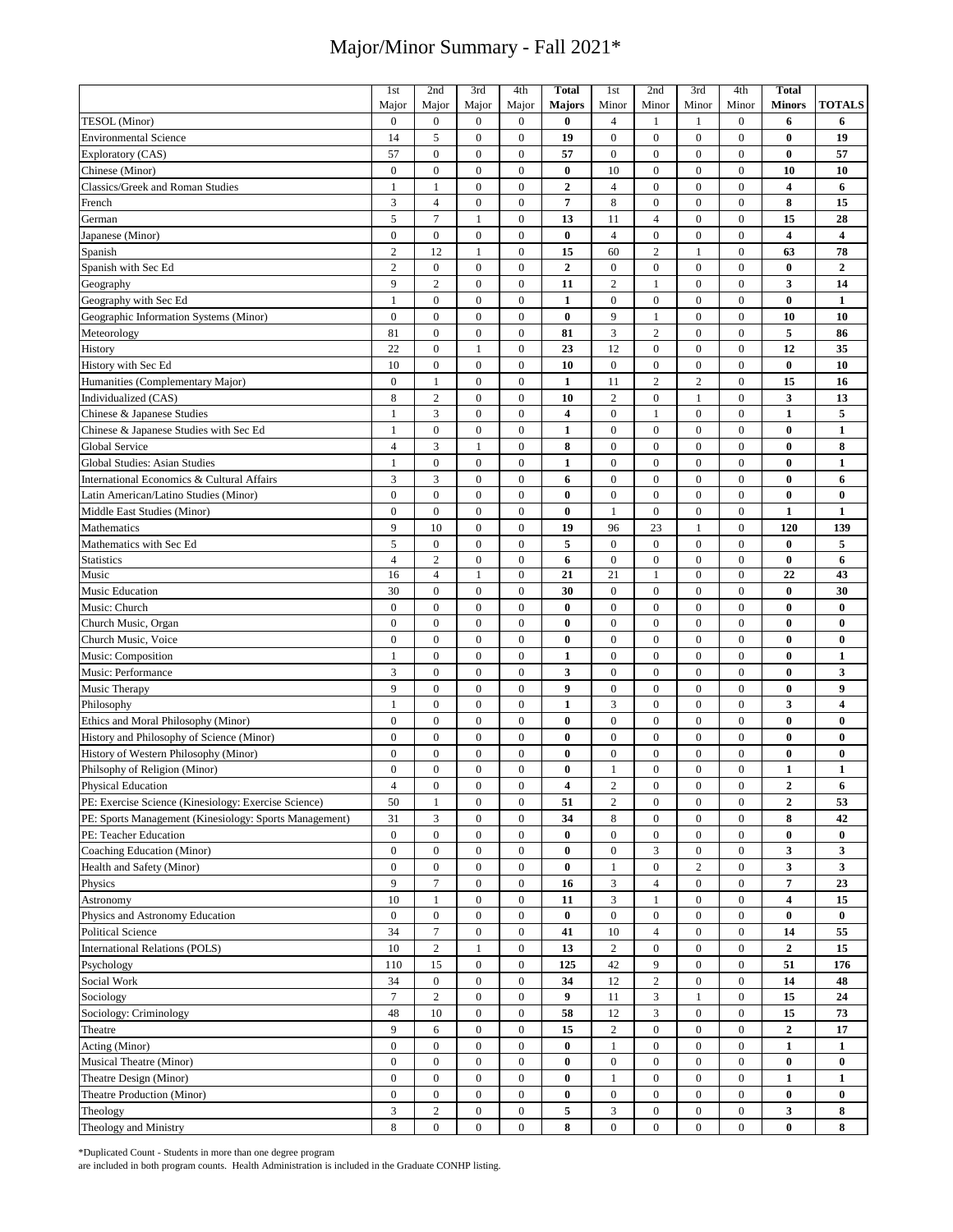|                                                        | 1st              | 2nd              | 3rd              | 4th              | <b>Total</b>            | 1st              | 2nd              | 3rd              | 4th              | <b>Total</b>            |                         |
|--------------------------------------------------------|------------------|------------------|------------------|------------------|-------------------------|------------------|------------------|------------------|------------------|-------------------------|-------------------------|
|                                                        | Major            | Major            | Major            | Major            | <b>Majors</b>           | Minor            | Minor            | Minor            | Minor            | <b>Minors</b>           | <b>TOTALS</b>           |
| TESOL (Minor)                                          | $\boldsymbol{0}$ | $\boldsymbol{0}$ | $\boldsymbol{0}$ | $\boldsymbol{0}$ | $\bf{0}$                | $\overline{4}$   | 1                | 1                | $\overline{0}$   | 6                       | 6                       |
| <b>Environmental Science</b>                           | 14               | 5                | $\boldsymbol{0}$ | $\boldsymbol{0}$ | 19                      | $\mathbf{0}$     | $\mathbf{0}$     | $\mathbf{0}$     | $\overline{0}$   | $\bf{0}$                | 19                      |
| Exploratory (CAS)                                      | 57               | $\boldsymbol{0}$ | $\boldsymbol{0}$ | $\boldsymbol{0}$ | 57                      | $\boldsymbol{0}$ | $\mathbf{0}$     | $\boldsymbol{0}$ | $\mathbf{0}$     | $\bf{0}$                | 57                      |
| Chinese (Minor)                                        | $\mathbf{0}$     | $\boldsymbol{0}$ | $\mathbf{0}$     | $\mathbf{0}$     | $\bf{0}$                | 10               | $\mathbf{0}$     | $\mathbf{0}$     | $\overline{0}$   | 10                      | 10                      |
|                                                        |                  |                  |                  |                  |                         | $\overline{4}$   |                  |                  |                  |                         |                         |
| Classics/Greek and Roman Studies                       | 1                | $\mathbf{1}$     | $\boldsymbol{0}$ | $\boldsymbol{0}$ | $\mathbf{2}$            |                  | $\mathbf{0}$     | $\boldsymbol{0}$ | $\boldsymbol{0}$ | $\overline{\mathbf{4}}$ | 6                       |
| French                                                 | 3                | $\overline{4}$   | $\overline{0}$   | $\mathbf{0}$     | 7                       | $\,$ 8 $\,$      | $\overline{0}$   | $\mathbf{0}$     | $\overline{0}$   | 8                       | 15                      |
| German                                                 | 5                | $\overline{7}$   | $\mathbf{1}$     | $\boldsymbol{0}$ | 13                      | 11               | $\overline{4}$   | $\mathbf{0}$     | $\mathbf{0}$     | 15                      | 28                      |
| Japanese (Minor)                                       | $\boldsymbol{0}$ | $\overline{0}$   | $\boldsymbol{0}$ | $\overline{0}$   | $\bf{0}$                | $\overline{4}$   | $\mathbf{0}$     | $\mathbf{0}$     | $\overline{0}$   | $\overline{\mathbf{4}}$ | $\overline{\mathbf{4}}$ |
| Spanish                                                | $\overline{c}$   | 12               | $\mathbf{1}$     | $\overline{0}$   | 15                      | 60               | $\overline{2}$   | 1                | $\mathbf{0}$     | 63                      | 78                      |
| Spanish with Sec Ed                                    | $\sqrt{2}$       | $\mathbf{0}$     | $\overline{0}$   | $\overline{0}$   | $\boldsymbol{2}$        | $\mathbf{0}$     | $\mathbf{0}$     | $\mathbf{0}$     | $\overline{0}$   | $\bf{0}$                | $\mathbf 2$             |
| Geography                                              | 9                | $\mathbf{2}$     | $\boldsymbol{0}$ | $\boldsymbol{0}$ | 11                      | $\overline{c}$   | $\mathbf{1}$     | $\mathbf{0}$     | $\overline{0}$   | 3                       | 14                      |
| Geography with Sec Ed                                  | 1                | $\mathbf{0}$     | $\mathbf{0}$     | $\mathbf{0}$     | $\mathbf{1}$            | $\boldsymbol{0}$ | $\boldsymbol{0}$ | $\mathbf{0}$     | $\mathbf{0}$     | $\bf{0}$                | $\mathbf{1}$            |
| Geographic Information Systems (Minor)                 | $\boldsymbol{0}$ | $\boldsymbol{0}$ | $\boldsymbol{0}$ | $\boldsymbol{0}$ | $\bf{0}$                | 9                | 1                | $\mathbf{0}$     | $\mathbf{0}$     | 10                      | 10                      |
| Meteorology                                            | 81               | $\boldsymbol{0}$ | $\boldsymbol{0}$ | $\boldsymbol{0}$ | 81                      | 3                | $\overline{c}$   | $\mathbf{0}$     | $\mathbf{0}$     | 5                       | 86                      |
| History                                                | 22               | $\boldsymbol{0}$ | $\mathbf{1}$     | $\boldsymbol{0}$ | 23                      | 12               | $\boldsymbol{0}$ | $\mathbf{0}$     | $\mathbf{0}$     | 12                      | 35                      |
| History with Sec Ed                                    | 10               | $\boldsymbol{0}$ | $\boldsymbol{0}$ | $\boldsymbol{0}$ | 10                      | $\boldsymbol{0}$ | $\boldsymbol{0}$ | $\boldsymbol{0}$ | $\mathbf{0}$     | $\bf{0}$                | 10                      |
|                                                        |                  |                  |                  |                  |                         |                  |                  |                  |                  |                         |                         |
| Humanities (Complementary Major)                       | $\mathbf{0}$     | $\mathbf{1}$     | $\mathbf{0}$     | $\boldsymbol{0}$ | $\mathbf{1}$            | 11               | $\overline{c}$   | $\overline{c}$   | $\mathbf{0}$     | 15                      | 16                      |
| Individualized (CAS)                                   | 8                | $\overline{c}$   | $\boldsymbol{0}$ | $\boldsymbol{0}$ | 10                      | $\sqrt{2}$       | $\boldsymbol{0}$ | $\mathbf{1}$     | $\mathbf{0}$     | 3                       | 13                      |
| Chinese & Japanese Studies                             | $\mathbf{1}$     | 3                | $\boldsymbol{0}$ | $\boldsymbol{0}$ | $\overline{\mathbf{4}}$ | $\boldsymbol{0}$ | $\mathbf{1}$     | $\boldsymbol{0}$ | $\mathbf{0}$     | $\mathbf{1}$            | 5                       |
| Chinese & Japanese Studies with Sec Ed                 | $\mathbf{1}$     | $\boldsymbol{0}$ | $\boldsymbol{0}$ | $\boldsymbol{0}$ | $\mathbf{1}$            | $\boldsymbol{0}$ | $\boldsymbol{0}$ | $\boldsymbol{0}$ | $\boldsymbol{0}$ | $\bf{0}$                | 1                       |
| Global Service                                         | $\overline{4}$   | 3                | $\mathbf{1}$     | $\boldsymbol{0}$ | 8                       | $\boldsymbol{0}$ | $\boldsymbol{0}$ | $\boldsymbol{0}$ | $\bf{0}$         | $\bf{0}$                | 8                       |
| Global Studies: Asian Studies                          | $\mathbf{1}$     | $\boldsymbol{0}$ | $\boldsymbol{0}$ | $\boldsymbol{0}$ | $\mathbf{1}$            | $\boldsymbol{0}$ | $\mathbf{0}$     | $\mathbf{0}$     | $\overline{0}$   | $\bf{0}$                | $\mathbf{1}$            |
| International Economics & Cultural Affairs             | 3                | 3                | $\boldsymbol{0}$ | $\boldsymbol{0}$ | 6                       | $\boldsymbol{0}$ | $\mathbf{0}$     | $\overline{0}$   | 0                | $\bf{0}$                | 6                       |
| Latin American/Latino Studies (Minor)                  | $\boldsymbol{0}$ | $\boldsymbol{0}$ | $\boldsymbol{0}$ | $\boldsymbol{0}$ | $\bf{0}$                | $\boldsymbol{0}$ | $\boldsymbol{0}$ | $\boldsymbol{0}$ | $\boldsymbol{0}$ | $\bf{0}$                | $\bf{0}$                |
| Middle East Studies (Minor)                            | $\boldsymbol{0}$ | $\boldsymbol{0}$ | $\boldsymbol{0}$ | $\boldsymbol{0}$ | $\bf{0}$                | $\mathbf{1}$     | $\boldsymbol{0}$ | $\boldsymbol{0}$ | $\boldsymbol{0}$ | $\mathbf{1}$            | $\mathbf{1}$            |
| Mathematics                                            | 9                | 10               | $\boldsymbol{0}$ | $\boldsymbol{0}$ | 19                      | 96               | 23               | $\mathbf{1}$     | $\boldsymbol{0}$ | 120                     | 139                     |
| Mathematics with Sec Ed                                | $\sqrt{5}$       | $\boldsymbol{0}$ | $\boldsymbol{0}$ | $\boldsymbol{0}$ | 5                       | $\boldsymbol{0}$ | $\mathbf{0}$     | $\mathbf{0}$     | $\mathbf{0}$     | $\bf{0}$                | 5                       |
|                                                        | $\overline{4}$   | $\sqrt{2}$       | $\boldsymbol{0}$ | $\boldsymbol{0}$ | 6                       | $\boldsymbol{0}$ | $\boldsymbol{0}$ | $\boldsymbol{0}$ | $\boldsymbol{0}$ | $\bf{0}$                | 6                       |
| <b>Statistics</b><br>Music                             | 16               | $\overline{4}$   | $\mathbf{1}$     | $\boldsymbol{0}$ | 21                      | 21               | $\mathbf{1}$     | $\mathbf{0}$     | $\overline{0}$   | 22                      | 43                      |
|                                                        |                  |                  |                  |                  |                         |                  |                  |                  |                  |                         |                         |
| Music Education                                        | 30               | $\boldsymbol{0}$ | $\boldsymbol{0}$ | $\boldsymbol{0}$ | 30                      | $\boldsymbol{0}$ | $\boldsymbol{0}$ | $\boldsymbol{0}$ | $\boldsymbol{0}$ | $\bf{0}$                | 30                      |
| Music: Church                                          | $\boldsymbol{0}$ | $\boldsymbol{0}$ | $\boldsymbol{0}$ | $\boldsymbol{0}$ | $\bf{0}$                | $\boldsymbol{0}$ | $\boldsymbol{0}$ | $\boldsymbol{0}$ | $\boldsymbol{0}$ | $\bf{0}$                | $\bf{0}$                |
| Church Music, Organ                                    | $\boldsymbol{0}$ | $\boldsymbol{0}$ | $\boldsymbol{0}$ | $\boldsymbol{0}$ | 0                       | $\boldsymbol{0}$ | $\boldsymbol{0}$ | $\boldsymbol{0}$ | $\boldsymbol{0}$ | $\bf{0}$                | $\bf{0}$                |
| Church Music, Voice                                    | $\boldsymbol{0}$ | $\boldsymbol{0}$ | $\boldsymbol{0}$ | $\boldsymbol{0}$ | $\bf{0}$                | $\boldsymbol{0}$ | $\boldsymbol{0}$ | $\boldsymbol{0}$ | $\boldsymbol{0}$ | $\bf{0}$                | $\bf{0}$                |
| Music: Composition                                     | $\mathbf{1}$     | $\boldsymbol{0}$ | $\boldsymbol{0}$ | $\boldsymbol{0}$ | 1                       | $\boldsymbol{0}$ | $\mathbf{0}$     | $\mathbf{0}$     | $\mathbf{0}$     | 0                       | 1                       |
| Music: Performance                                     | $\mathfrak{Z}$   | $\bf{0}$         | $\boldsymbol{0}$ | $\boldsymbol{0}$ | 3                       | $\boldsymbol{0}$ | $\mathbf{0}$     | $\boldsymbol{0}$ | $\mathbf{0}$     | $\bf{0}$                | 3                       |
| Music Therapy                                          | 9                | $\boldsymbol{0}$ | $\mathbf{0}$     | $\overline{0}$   | 9                       | $\boldsymbol{0}$ | $\overline{0}$   | $\mathbf{0}$     | $\mathbf{0}$     | $\bf{0}$                | 9                       |
| Philosophy                                             | 1                | $\boldsymbol{0}$ | $\boldsymbol{0}$ | $\boldsymbol{0}$ | $\mathbf{1}$            | $\overline{3}$   | $\boldsymbol{0}$ | $\boldsymbol{0}$ | $\bf{0}$         | 3                       | $\overline{\mathbf{4}}$ |
| Ethics and Moral Philosophy (Minor)                    | $\mathbf{0}$     | $\mathbf{0}$     | $\mathbf{0}$     | $\mathbf{0}$     | $\bf{0}$                | $\boldsymbol{0}$ | $\mathbf{0}$     | $\mathbf{0}$     | $\mathbf{0}$     | $\bf{0}$                | $\bf{0}$                |
| History and Philosophy of Science (Minor)              | $\mathbf{0}$     | $\boldsymbol{0}$ | $\boldsymbol{0}$ | $\boldsymbol{0}$ | $\bf{0}$                | $\boldsymbol{0}$ | $\mathbf{0}$     | $\boldsymbol{0}$ | $\bf{0}$         | $\bf{0}$                | $\bf{0}$                |
| History of Western Philosophy (Minor)                  | $\mathbf{0}$     | $\overline{0}$   | $\overline{0}$   | $\overline{0}$   | $\bf{0}$                | $\boldsymbol{0}$ | $\overline{0}$   | $\mathbf{0}$     | $\overline{0}$   | $\bf{0}$                | $\bf{0}$                |
| Philsophy of Religion (Minor)                          | $\mathbf{0}$     | $\overline{0}$   | $\overline{0}$   | $\overline{0}$   | $\bf{0}$                | $\mathbf{1}$     | $\mathbf{0}$     | $\mathbf{0}$     | $\overline{0}$   | $\mathbf{1}$            | $\mathbf{1}$            |
|                                                        |                  |                  |                  |                  |                         |                  |                  |                  |                  |                         |                         |
| Physical Education                                     | $\overline{4}$   | $\boldsymbol{0}$ | $\boldsymbol{0}$ | $\boldsymbol{0}$ | 4                       | $\overline{c}$   | $\boldsymbol{0}$ | $\boldsymbol{0}$ | $\boldsymbol{0}$ | 2                       | 6                       |
| PE: Exercise Science (Kinesiology: Exercise Science)   | 50               | $\mathbf{1}$     | $\boldsymbol{0}$ | $\boldsymbol{0}$ | 51                      | $\overline{c}$   | $\mathbf{0}$     | $\mathbf{0}$     | $\overline{0}$   | $\overline{2}$          | 53                      |
| PE: Sports Management (Kinesiology: Sports Management) | 31               | 3                | $\boldsymbol{0}$ | $\boldsymbol{0}$ | 34                      | 8                | $\boldsymbol{0}$ | $\boldsymbol{0}$ | $\boldsymbol{0}$ | 8                       | 42                      |
| PE: Teacher Education                                  | $\bf{0}$         | $\boldsymbol{0}$ | $\overline{0}$   | $\boldsymbol{0}$ | $\bf{0}$                | $\boldsymbol{0}$ | $\bf{0}$         | $\boldsymbol{0}$ | $\overline{0}$   | $\bf{0}$                | $\bf{0}$                |
| Coaching Education (Minor)                             | $\boldsymbol{0}$ | $\boldsymbol{0}$ | $\boldsymbol{0}$ | $\boldsymbol{0}$ | $\bf{0}$                | $\boldsymbol{0}$ | 3                | $\mathbf{0}$     | $\boldsymbol{0}$ | 3                       | 3                       |
| Health and Safety (Minor)                              | $\boldsymbol{0}$ | $\boldsymbol{0}$ | $\boldsymbol{0}$ | $\boldsymbol{0}$ | $\bf{0}$                | $\mathbf{1}$     | $\overline{0}$   | $\overline{2}$   | $\overline{0}$   | $\mathbf{3}$            | 3                       |
| Physics                                                | 9                | $\tau$           | $\boldsymbol{0}$ | $\boldsymbol{0}$ | 16                      | 3                | $\overline{4}$   | $\boldsymbol{0}$ | $\boldsymbol{0}$ | 7                       | 23                      |
| Astronomy                                              | 10               | $\mathbf{1}$     | $\boldsymbol{0}$ | $\overline{0}$   | 11                      | 3                | $\mathbf{1}$     | $\mathbf{0}$     | $\boldsymbol{0}$ | $\overline{\mathbf{4}}$ | 15                      |
| Physics and Astronomy Education                        | $\boldsymbol{0}$ | $\boldsymbol{0}$ | $\boldsymbol{0}$ | $\boldsymbol{0}$ | $\bf{0}$                | $\boldsymbol{0}$ | $\boldsymbol{0}$ | $\boldsymbol{0}$ | $\boldsymbol{0}$ | $\bf{0}$                | $\bf{0}$                |
| <b>Political Science</b>                               | 34               | $\tau$           | $\overline{0}$   | $\bf{0}$         | 41                      | 10               | $\overline{4}$   | $\bf{0}$         | $\overline{0}$   | 14                      | 55                      |
| International Relations (POLS)                         | 10               | $\,2$            | $\mathbf{1}$     | $\boldsymbol{0}$ | 13                      | $\sqrt{2}$       | $\boldsymbol{0}$ | $\boldsymbol{0}$ | $\overline{0}$   | $\mathbf{2}$            | 15                      |
| Psychology                                             | 110              | 15               | $\overline{0}$   | $\boldsymbol{0}$ | 125                     | 42               | 9                | $\boldsymbol{0}$ | $\overline{0}$   | 51                      | 176                     |
| Social Work                                            | 34               | $\boldsymbol{0}$ | $\boldsymbol{0}$ | $\boldsymbol{0}$ | 34                      | 12               | $\sqrt{2}$       | $\boldsymbol{0}$ | $\boldsymbol{0}$ | 14                      | 48                      |
|                                                        |                  |                  |                  |                  |                         |                  |                  |                  |                  |                         |                         |
| Sociology                                              | $\tau$           | $\overline{c}$   | $\overline{0}$   | $\boldsymbol{0}$ | 9                       | 11               | $\mathfrak{Z}$   | $\mathbf{1}$     | $\overline{0}$   | 15                      | 24                      |
| Sociology: Criminology                                 | 48               | 10               | $\boldsymbol{0}$ | $\boldsymbol{0}$ | 58                      | 12               | $\overline{3}$   | $\boldsymbol{0}$ | $\boldsymbol{0}$ | 15                      | 73                      |
| Theatre                                                | 9                | 6                | $\overline{0}$   | $\overline{0}$   | 15                      | $\overline{c}$   | $\bf{0}$         | $\overline{0}$   | 0                | $\boldsymbol{2}$        | 17                      |
| Acting (Minor)                                         | $\boldsymbol{0}$ | $\boldsymbol{0}$ | $\boldsymbol{0}$ | $\boldsymbol{0}$ | 0                       | 1                | $\mathbf{0}$     | $\mathbf{0}$     | 0                | $\mathbf{1}$            | $\mathbf{1}$            |
| Musical Theatre (Minor)                                | $\mathbf{0}$     | $\boldsymbol{0}$ | $\boldsymbol{0}$ | $\boldsymbol{0}$ | $\bf{0}$                | $\mathbf{0}$     | $\boldsymbol{0}$ | $\boldsymbol{0}$ | 0                | $\bf{0}$                | $\bf{0}$                |
| Theatre Design (Minor)                                 | $\boldsymbol{0}$ | $\boldsymbol{0}$ | $\boldsymbol{0}$ | $\boldsymbol{0}$ | $\bf{0}$                | $\mathbf{1}$     | $\boldsymbol{0}$ | $\boldsymbol{0}$ | 0                | $\mathbf{1}$            | $\mathbf{1}$            |
| Theatre Production (Minor)                             | $\boldsymbol{0}$ | $\boldsymbol{0}$ | $\boldsymbol{0}$ | $\boldsymbol{0}$ | 0                       | $\mathbf{0}$     | $\boldsymbol{0}$ | $\boldsymbol{0}$ | 0                | $\bf{0}$                | 0                       |
| Theology                                               | 3                | $\boldsymbol{2}$ | $\boldsymbol{0}$ | $\boldsymbol{0}$ | 5                       | 3                | $\boldsymbol{0}$ | $\boldsymbol{0}$ | 0                | 3                       | 8                       |
| Theology and Ministry                                  | 8                | $\boldsymbol{0}$ | $\overline{0}$   | $\boldsymbol{0}$ | 8                       | $\bf{0}$         | $\boldsymbol{0}$ | $\boldsymbol{0}$ | $\boldsymbol{0}$ | $\bf{0}$                | 8                       |
|                                                        |                  |                  |                  |                  |                         |                  |                  |                  |                  |                         |                         |

\*Duplicated Count - Students in more than one degree program

are included in both program counts. Health Administration is included in the Graduate CONHP listing.